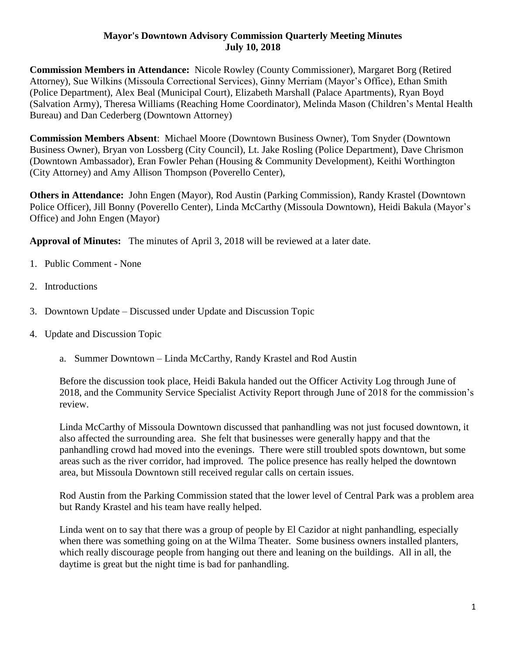## **Mayor's Downtown Advisory Commission Quarterly Meeting Minutes July 10, 2018**

**Commission Members in Attendance:** Nicole Rowley (County Commissioner), Margaret Borg (Retired Attorney), Sue Wilkins (Missoula Correctional Services), Ginny Merriam (Mayor's Office), Ethan Smith (Police Department), Alex Beal (Municipal Court), Elizabeth Marshall (Palace Apartments), Ryan Boyd (Salvation Army), Theresa Williams (Reaching Home Coordinator), Melinda Mason (Children's Mental Health Bureau) and Dan Cederberg (Downtown Attorney)

**Commission Members Absent**: Michael Moore (Downtown Business Owner), Tom Snyder (Downtown Business Owner), Bryan von Lossberg (City Council), Lt. Jake Rosling (Police Department), Dave Chrismon (Downtown Ambassador), Eran Fowler Pehan (Housing & Community Development), Keithi Worthington (City Attorney) and Amy Allison Thompson (Poverello Center),

**Others in Attendance:** John Engen (Mayor), Rod Austin (Parking Commission), Randy Krastel (Downtown Police Officer), Jill Bonny (Poverello Center), Linda McCarthy (Missoula Downtown), Heidi Bakula (Mayor's Office) and John Engen (Mayor)

**Approval of Minutes:** The minutes of April 3, 2018 will be reviewed at a later date.

- 1. Public Comment None
- 2. Introductions
- 3. Downtown Update Discussed under Update and Discussion Topic
- 4. Update and Discussion Topic
	- a. Summer Downtown Linda McCarthy, Randy Krastel and Rod Austin

Before the discussion took place, Heidi Bakula handed out the Officer Activity Log through June of 2018, and the Community Service Specialist Activity Report through June of 2018 for the commission's review.

Linda McCarthy of Missoula Downtown discussed that panhandling was not just focused downtown, it also affected the surrounding area. She felt that businesses were generally happy and that the panhandling crowd had moved into the evenings. There were still troubled spots downtown, but some areas such as the river corridor, had improved. The police presence has really helped the downtown area, but Missoula Downtown still received regular calls on certain issues.

Rod Austin from the Parking Commission stated that the lower level of Central Park was a problem area but Randy Krastel and his team have really helped.

Linda went on to say that there was a group of people by El Cazidor at night panhandling, especially when there was something going on at the Wilma Theater. Some business owners installed planters, which really discourage people from hanging out there and leaning on the buildings. All in all, the daytime is great but the night time is bad for panhandling.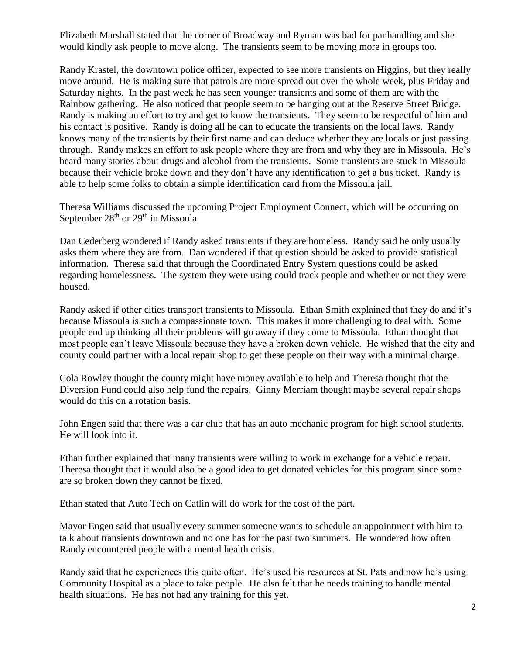Elizabeth Marshall stated that the corner of Broadway and Ryman was bad for panhandling and she would kindly ask people to move along. The transients seem to be moving more in groups too.

Randy Krastel, the downtown police officer, expected to see more transients on Higgins, but they really move around. He is making sure that patrols are more spread out over the whole week, plus Friday and Saturday nights. In the past week he has seen younger transients and some of them are with the Rainbow gathering. He also noticed that people seem to be hanging out at the Reserve Street Bridge. Randy is making an effort to try and get to know the transients. They seem to be respectful of him and his contact is positive. Randy is doing all he can to educate the transients on the local laws. Randy knows many of the transients by their first name and can deduce whether they are locals or just passing through. Randy makes an effort to ask people where they are from and why they are in Missoula. He's heard many stories about drugs and alcohol from the transients. Some transients are stuck in Missoula because their vehicle broke down and they don't have any identification to get a bus ticket. Randy is able to help some folks to obtain a simple identification card from the Missoula jail.

Theresa Williams discussed the upcoming Project Employment Connect, which will be occurring on September 28<sup>th</sup> or 29<sup>th</sup> in Missoula.

Dan Cederberg wondered if Randy asked transients if they are homeless. Randy said he only usually asks them where they are from. Dan wondered if that question should be asked to provide statistical information. Theresa said that through the Coordinated Entry System questions could be asked regarding homelessness. The system they were using could track people and whether or not they were housed.

Randy asked if other cities transport transients to Missoula. Ethan Smith explained that they do and it's because Missoula is such a compassionate town. This makes it more challenging to deal with. Some people end up thinking all their problems will go away if they come to Missoula. Ethan thought that most people can't leave Missoula because they have a broken down vehicle. He wished that the city and county could partner with a local repair shop to get these people on their way with a minimal charge.

Cola Rowley thought the county might have money available to help and Theresa thought that the Diversion Fund could also help fund the repairs. Ginny Merriam thought maybe several repair shops would do this on a rotation basis.

John Engen said that there was a car club that has an auto mechanic program for high school students. He will look into it.

Ethan further explained that many transients were willing to work in exchange for a vehicle repair. Theresa thought that it would also be a good idea to get donated vehicles for this program since some are so broken down they cannot be fixed.

Ethan stated that Auto Tech on Catlin will do work for the cost of the part.

Mayor Engen said that usually every summer someone wants to schedule an appointment with him to talk about transients downtown and no one has for the past two summers. He wondered how often Randy encountered people with a mental health crisis.

Randy said that he experiences this quite often. He's used his resources at St. Pats and now he's using Community Hospital as a place to take people. He also felt that he needs training to handle mental health situations. He has not had any training for this yet.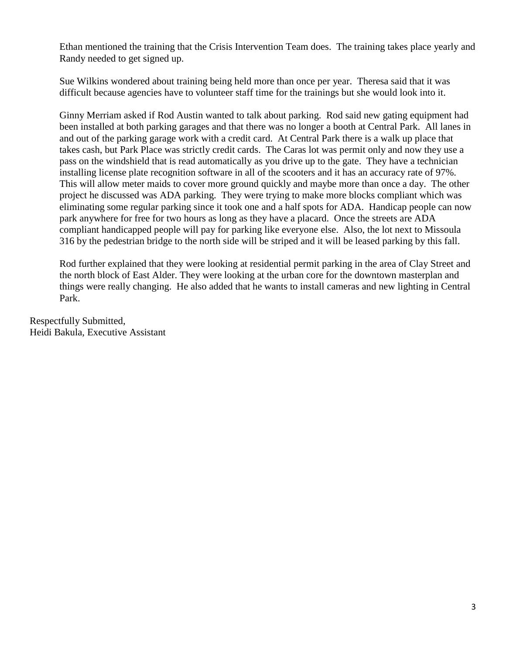Ethan mentioned the training that the Crisis Intervention Team does. The training takes place yearly and Randy needed to get signed up.

Sue Wilkins wondered about training being held more than once per year. Theresa said that it was difficult because agencies have to volunteer staff time for the trainings but she would look into it.

Ginny Merriam asked if Rod Austin wanted to talk about parking. Rod said new gating equipment had been installed at both parking garages and that there was no longer a booth at Central Park. All lanes in and out of the parking garage work with a credit card. At Central Park there is a walk up place that takes cash, but Park Place was strictly credit cards. The Caras lot was permit only and now they use a pass on the windshield that is read automatically as you drive up to the gate. They have a technician installing license plate recognition software in all of the scooters and it has an accuracy rate of 97%. This will allow meter maids to cover more ground quickly and maybe more than once a day. The other project he discussed was ADA parking. They were trying to make more blocks compliant which was eliminating some regular parking since it took one and a half spots for ADA. Handicap people can now park anywhere for free for two hours as long as they have a placard. Once the streets are ADA compliant handicapped people will pay for parking like everyone else. Also, the lot next to Missoula 316 by the pedestrian bridge to the north side will be striped and it will be leased parking by this fall.

Rod further explained that they were looking at residential permit parking in the area of Clay Street and the north block of East Alder. They were looking at the urban core for the downtown masterplan and things were really changing. He also added that he wants to install cameras and new lighting in Central Park.

Respectfully Submitted, Heidi Bakula, Executive Assistant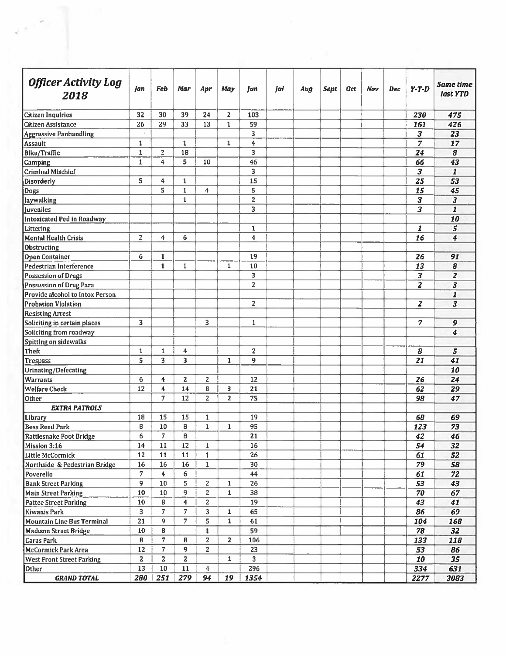| <b>Officer Activity Log</b><br>2018 | Jan            | Feb                     | Mar                      | Apr            | May            | Jun                     | Jul | Aug | Sept | <b>Oct</b> | Nov | Dec | $Y - T - D$             | Same time<br>last YTD |
|-------------------------------------|----------------|-------------------------|--------------------------|----------------|----------------|-------------------------|-----|-----|------|------------|-----|-----|-------------------------|-----------------------|
| Citizen Inquiries                   | 32             | 30                      | 39                       | 24             | 2              | 103                     |     |     |      |            |     |     | 230                     | 475                   |
| Citizen Assistance                  | 26             | 29                      | 33                       | 13             | $\mathbf{1}$   | 59                      |     |     |      |            |     |     | 161                     | 426                   |
| <b>Aggressive Panhandling</b>       |                |                         |                          |                |                | 3 <sup>1</sup>          |     |     |      |            |     |     | 3                       | 23                    |
| <b>Assault</b>                      | $\mathbf{1}$   |                         | $\mathbf{1}$             |                | $\mathbf{1}$   | $\ddot{\textbf{4}}$     |     |     |      |            |     |     | 7                       | 17                    |
| Bike/Traffic                        | $\mathbf{1}$   | $\overline{z}$          | 18                       |                |                | $\overline{\mathbf{3}}$ |     |     |      |            |     |     | 24                      | 8                     |
| Camping                             | $\mathbf{1}$   | $\overline{4}$          | 5                        | 10             |                | 46                      |     |     |      |            |     |     | 66                      | 43                    |
| <b>Criminal Mischief</b>            |                |                         |                          |                |                | 3                       |     |     |      |            |     |     | 3                       | $\mathbf{I}$          |
| <b>Disorderly</b>                   | S.             | 4                       | $\mathbf{1}$             |                |                | 15                      |     |     |      |            |     |     | 25                      | 53                    |
| Dogs                                |                | 5                       | $\mathbf{1}$             | $\overline{4}$ |                | 5                       |     |     |      |            |     |     | 15                      | 45                    |
| <b>Jaywalking</b>                   |                |                         | $\mathbf{1}$             |                |                | $\overline{2}$          |     |     |      |            |     |     | $\overline{\mathbf{3}}$ | 3                     |
| <b>Juveniles</b>                    |                |                         |                          |                |                | 3                       |     |     |      |            |     |     | 3                       | $\mathbf{I}$          |
| Intoxicated Ped in Roadway          |                |                         |                          |                |                |                         |     |     |      |            |     |     |                         | 10                    |
| Littering                           |                |                         |                          |                |                | $\mathbf{1}$            |     |     |      |            |     |     | 1                       | 5                     |
| <b>Mental Health Crisis</b>         | $\overline{z}$ | 4                       | 6                        |                |                | 4                       |     |     |      |            |     |     | 16                      | $\boldsymbol{4}$      |
| Obstructing                         |                |                         |                          |                |                |                         |     |     |      |            |     |     |                         |                       |
| <b>Open Container</b>               | 6              | $\mathbf{1}$            |                          |                |                | 19                      |     |     |      |            |     |     | 26                      | 91                    |
| Pedestrian Interference             |                | $\mathbf{1}$            | $\mathbf{1}$             |                | $\mathbf{1}$   | 10                      |     |     |      |            |     |     | 13                      | 8                     |
| Possession of Drugs                 |                |                         |                          |                |                | $\overline{\mathbf{3}}$ |     |     |      |            |     |     | 3                       | $\overline{2}$        |
| Possession of Drug Para             |                |                         |                          |                |                | $\overline{2}$          |     |     |      |            |     |     | $\overline{z}$          | 3                     |
| Provide alcohol to Intox Person     |                |                         |                          |                |                |                         |     |     |      |            |     |     |                         |                       |
| <b>Probation Violation</b>          |                |                         |                          |                |                | $\overline{z}$          |     |     |      |            |     |     | $\mathbf{z}$            | 1<br>3                |
|                                     |                |                         |                          |                |                |                         |     |     |      |            |     |     |                         |                       |
| <b>Resisting Arrest</b>             |                |                         |                          |                |                |                         |     |     |      |            |     |     |                         |                       |
| Soliciting in certain places        | 3              |                         |                          | 3              |                | $\mathbf{1}$            |     |     |      |            |     |     | 7                       | 9                     |
| Soliciting from roadway             |                |                         |                          |                |                |                         |     |     |      |            |     |     |                         | 4                     |
| Spitting on sidewalks               |                |                         |                          |                |                |                         |     |     |      |            |     |     |                         |                       |
| <b>Theft</b>                        | $\mathbf{1}$   | $\mathbf{1}$            | 4                        |                |                | $\overline{2}$          |     |     |      |            |     |     | 8                       | 5                     |
| <b>Trespass</b>                     | 5              | 3                       | 3                        |                | $\mathbf{1}$   | 9                       |     |     |      |            |     |     | 21                      | 41                    |
| <b>Urinating/Defecating</b>         |                |                         |                          |                |                |                         |     |     |      |            |     |     |                         | 10                    |
| <b>Warrants</b>                     | 6              | 4                       | $\overline{2}$           | $\overline{c}$ |                | 12                      |     |     |      |            |     |     | 26                      | 24                    |
| <b>Welfare Check</b>                | 12             | 4                       | 14                       | 8              | 3              | 21                      |     |     |      |            |     |     | 62                      | 29                    |
| Other                               |                | $\overline{7}$          | 12                       | $\overline{2}$ | $\overline{2}$ | 75                      |     |     |      |            |     |     | 98                      | 47                    |
| <b>EXTRA PATROLS</b>                |                |                         |                          |                |                |                         |     |     |      |            |     |     |                         |                       |
| Library                             | 18             | 15                      | 15                       | $\mathbf{1}$   |                | 19                      |     |     |      |            |     |     | 68                      | 69                    |
| <b>Bess Reed Park</b>               | B              | 10                      | 8                        | $\mathbf{1}$   | $\mathbf{1}$   | 95                      |     |     |      |            |     |     | 123                     | 73                    |
| Rattlesnake Foot Bridge             | 6              | $\overline{7}$          | 8                        |                |                | 21                      |     |     |      |            |     |     | 42                      | 46                    |
| Mission 3:16                        | 14             | 11                      | 12                       | $\mathbf{1}$   |                | 16                      |     |     |      |            |     |     | 54                      | 32                    |
| Little McCormick                    | 12             | 11                      | 11                       | $\mathbf{1}$   |                | 26                      |     |     |      |            |     |     | 61                      | 52                    |
| Northside & Pedestrian Bridge       | 16             | 16                      | 16                       | $\mathbf{1}$   |                | 30                      |     |     |      |            |     |     | 79                      | 58                    |
| Poverello                           | $\overline{7}$ | $\overline{\mathbf{4}}$ | 6                        |                |                | 44                      |     |     |      |            |     |     | 61                      | 72                    |
| <b>Bank Street Parking</b>          | 9              | 10                      | 5                        | $\overline{2}$ | $\mathbf{1}$   | 26                      |     |     |      |            |     |     | 53                      | 43                    |
| Main Street Parking                 | 10             | 10                      | 9                        | $\mathbf{Z}$   | $\mathbf{1}$   | 38                      |     |     |      |            |     |     | 70                      | 67                    |
| <b>Pattee Street Parking</b>        | 10             | 8                       | 4                        | 2              |                | 19                      |     |     |      |            |     |     | 43                      | 41                    |
| Kiwanis Park                        | 3 <sup>1</sup> | 7                       | $\overline{\mathcal{L}}$ | 3              | $\mathbf{1}$   | 65                      |     |     |      |            |     |     | 86                      | 69                    |
| <b>Mountain Line Bus Terminal</b>   | 21             | 9                       | 7                        | 5              | $\mathbf{1}$   | 61                      |     |     |      |            |     |     | 104                     | 168                   |
| <b>Madison Street Bridge</b>        | 10             | 8                       |                          | $\mathbf{1}$   |                | 59                      |     |     |      |            |     |     | 78                      | 32                    |
| Caras Park                          | 8              | $\overline{7}$          | 8                        | $\mathbf{Z}$   | $\overline{2}$ | 106                     |     |     |      |            |     |     | 133                     | 118                   |
| McCormick Park Area                 | 12             | $\overline{7}$          | 9                        | $\overline{2}$ |                | 23                      |     |     |      |            |     |     | 53                      | 86                    |
| <b>West Front Street Parking</b>    | $\overline{2}$ | $\overline{z}$          | $\overline{2}$           |                | $\mathbf{1}$   | $\overline{\mathbf{3}}$ |     |     |      |            |     |     | 10                      | 35                    |
| Other                               | 13             | 10                      | 11                       | $\overline{4}$ |                | 296                     |     |     |      |            |     |     | 334                     | 631                   |
|                                     | 280            | 251                     | 279                      | 94             | 19             | 1354                    |     |     |      |            |     |     | 2277                    | 3083                  |